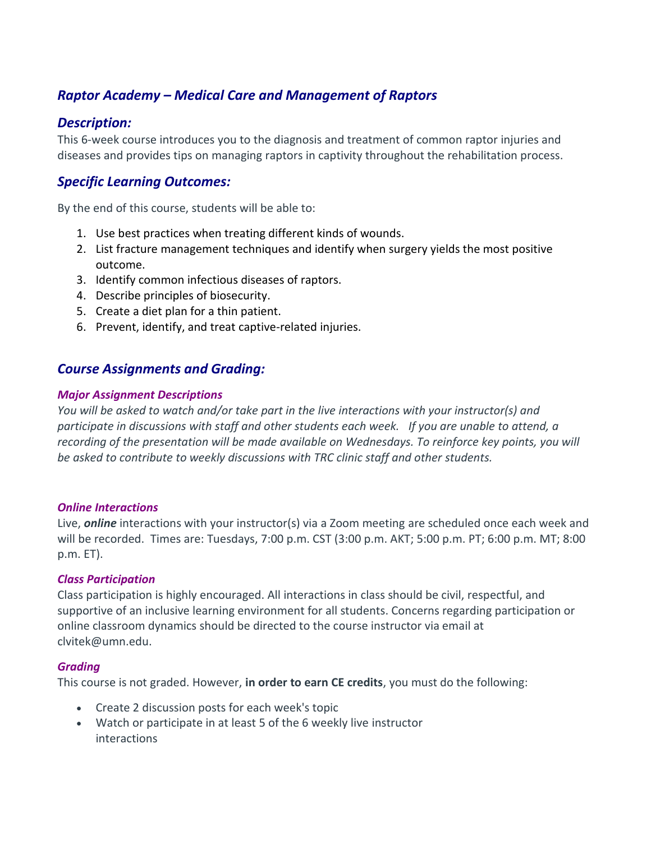# *Raptor Academy – Medical Care and Management of Raptors*

#### *Description:*

This 6-week course introduces you to the diagnosis and treatment of common raptor injuries and diseases and provides tips on managing raptors in captivity throughout the rehabilitation process.

### *Specific Learning Outcomes:*

By the end of this course, students will be able to:

- 1. Use best practices when treating different kinds of wounds.
- 2. List fracture management techniques and identify when surgery yields the most positive outcome.
- 3. Identify common infectious diseases of raptors.
- 4. Describe principles of biosecurity.
- 5. Create a diet plan for a thin patient.
- 6. Prevent, identify, and treat captive-related injuries.

## *Course Assignments and Grading:*

#### *Major Assignment Descriptions*

*You will be asked to watch and/or take part in the live interactions with your instructor(s) and participate in discussions with staff and other students each week. If you are unable to attend, a recording of the presentation will be made available on Wednesdays. To reinforce key points, you will be asked to contribute to weekly discussions with TRC clinic staff and other students.*

#### *Online Interactions*

Live, *online* interactions with your instructor(s) via a Zoom meeting are scheduled once each week and will be recorded. Times are: Tuesdays, 7:00 p.m. CST (3:00 p.m. AKT; 5:00 p.m. PT; 6:00 p.m. MT; 8:00 p.m. ET).

#### *Class Participation*

Class participation is highly encouraged. All interactions in class should be civil, respectful, and supportive of an inclusive learning environment for all students. Concerns regarding participation or online classroom dynamics should be directed to the course instructor via email at clvitek@umn.edu.

#### *Grading*

This course is not graded. However, **in order to earn CE credits**, you must do the following:

- Create 2 discussion posts for each week's topic
- Watch or participate in at least 5 of the 6 weekly live instructor interactions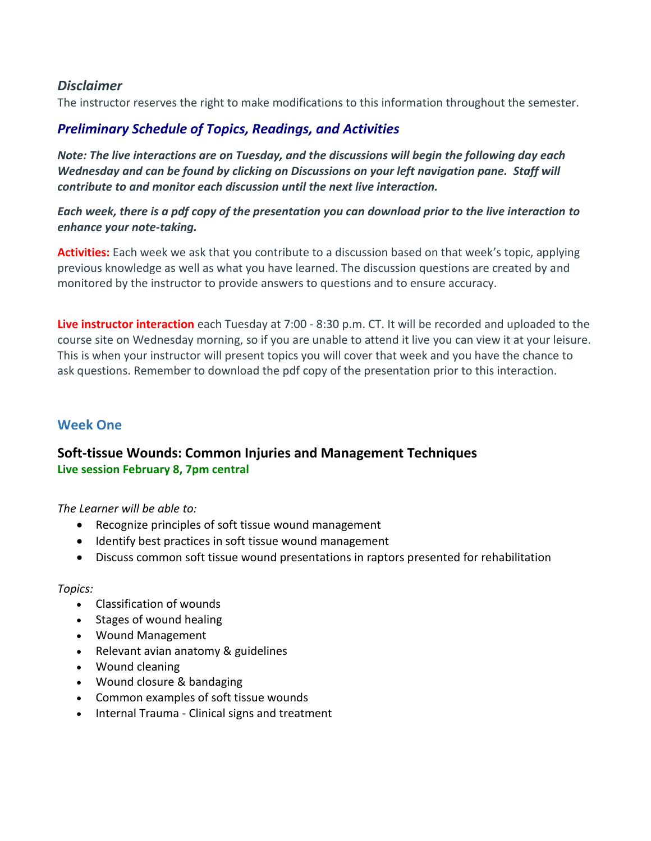### *Disclaimer*

The instructor reserves the right to make modifications to this information throughout the semester.

# *Preliminary Schedule of Topics, Readings, and Activities*

*Note: The live interactions are on Tuesday, and the discussions will begin the following day each Wednesday and can be found by clicking on Discussions on your left navigation pane. Staff will contribute to and monitor each discussion until the next live interaction.*

#### *Each week, there is a pdf copy of the presentation you can download prior to the live interaction to enhance your note-taking.*

**Activities:** Each week we ask that you contribute to a discussion based on that week's topic, applying previous knowledge as well as what you have learned. The discussion questions are created by and monitored by the instructor to provide answers to questions and to ensure accuracy.

**Live instructor interaction** each Tuesday at 7:00 - 8:30 p.m. CT. It will be recorded and uploaded to the course site on Wednesday morning, so if you are unable to attend it live you can view it at your leisure. This is when your instructor will present topics you will cover that week and you have the chance to ask questions. Remember to download the pdf copy of the presentation prior to this interaction.

# **Week One**

## **Soft-tissue Wounds: Common Injuries and Management Techniques Live session February 8, 7pm central**

*The Learner will be able to:*

- Recognize principles of soft tissue wound management
- Identify best practices in soft tissue wound management
- Discuss common soft tissue wound presentations in raptors presented for rehabilitation

#### *Topics:*

- Classification of wounds
- Stages of wound healing
- Wound Management
- Relevant avian anatomy & guidelines
- Wound cleaning
- Wound closure & bandaging
- Common examples of soft tissue wounds
- Internal Trauma Clinical signs and treatment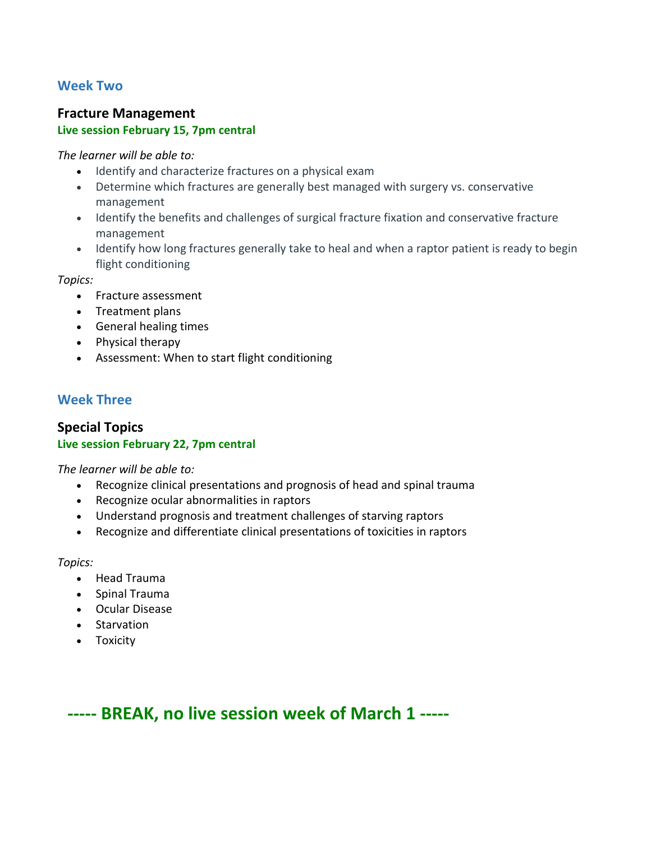### **Week Two**

# **Fracture Management Live session February 15, 7pm central**

*The learner will be able to:*

- Identify and characterize fractures on a physical exam
- Determine which fractures are generally best managed with surgery vs. conservative management
- Identify the benefits and challenges of surgical fracture fixation and conservative fracture management
- Identify how long fractures generally take to heal and when a raptor patient is ready to begin flight conditioning

*Topics:*

- Fracture assessment
- Treatment plans
- General healing times
- Physical therapy
- Assessment: When to start flight conditioning

## **Week Three**

#### **Special Topics Live session February 22, 7pm central**

*The learner will be able to:*

- Recognize clinical presentations and prognosis of head and spinal trauma
- Recognize ocular abnormalities in raptors
- Understand prognosis and treatment challenges of starving raptors
- Recognize and differentiate clinical presentations of toxicities in raptors

*Topics:*

- Head Trauma
- Spinal Trauma
- Ocular Disease
- Starvation
- Toxicity

**----- BREAK, no live session week of March 1 -----**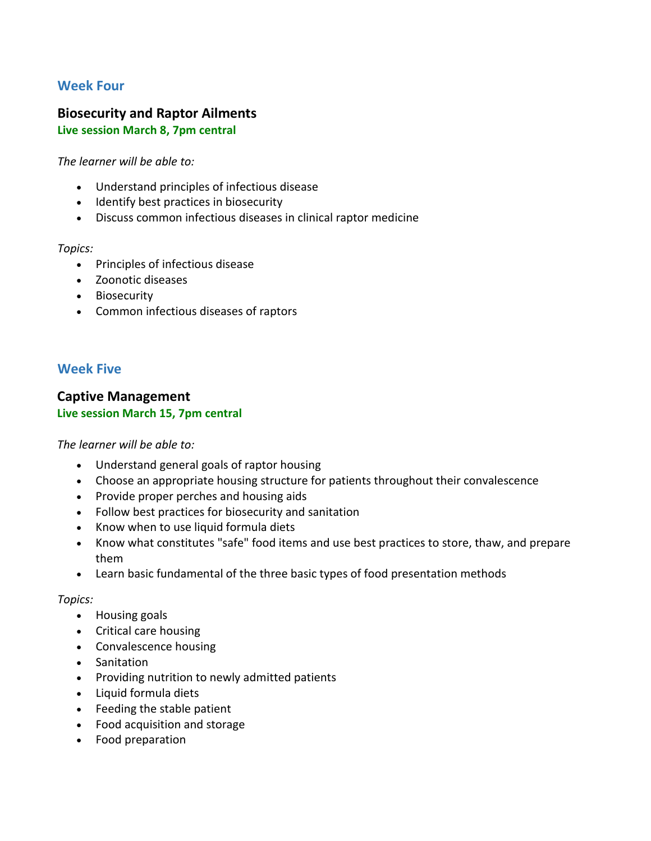## **Week Four**

# **Biosecurity and Raptor Ailments**

#### **Live session March 8, 7pm central**

*The learner will be able to:*

- Understand principles of infectious disease
- Identify best practices in biosecurity
- Discuss common infectious diseases in clinical raptor medicine

*Topics:*

- Principles of infectious disease
- Zoonotic diseases
- Biosecurity
- Common infectious diseases of raptors

### **Week Five**

#### **Captive Management Live session March 15, 7pm central**

#### *The learner will be able to:*

- Understand general goals of raptor housing
- Choose an appropriate housing structure for patients throughout their convalescence
- Provide proper perches and housing aids
- Follow best practices for biosecurity and sanitation
- Know when to use liquid formula diets
- Know what constitutes "safe" food items and use best practices to store, thaw, and prepare them
- Learn basic fundamental of the three basic types of food presentation methods

#### *Topics:*

- Housing goals
- Critical care housing
- Convalescence housing
- Sanitation
- Providing nutrition to newly admitted patients
- Liquid formula diets
- Feeding the stable patient
- Food acquisition and storage
- Food preparation